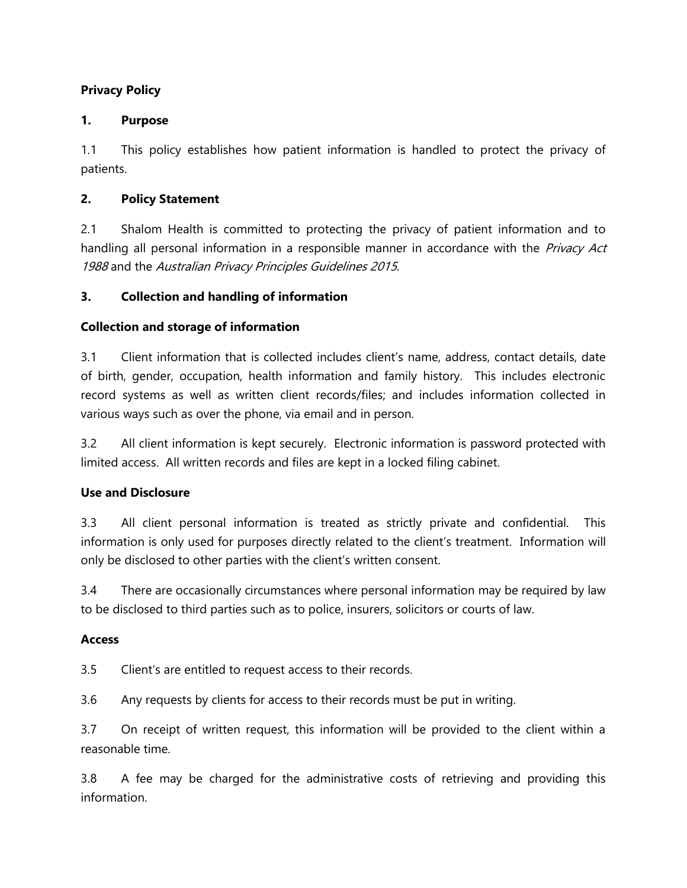# **Privacy Policy**

### **1. Purpose**

1.1 This policy establishes how patient information is handled to protect the privacy of patients.

### **2. Policy Statement**

2.1 Shalom Health is committed to protecting the privacy of patient information and to handling all personal information in a responsible manner in accordance with the Privacy Act <sup>1988</sup> and the Australian Privacy Principles Guidelines 2015.

### **3. Collection and handling of information**

### **Collection and storage of information**

3.1 Client information that is collected includes client's name, address, contact details, date of birth, gender, occupation, health information and family history. This includes electronic record systems as well as written client records/files; and includes information collected in various ways such as over the phone, via email and in person.

3.2 All client information is kept securely. Electronic information is password protected with limited access. All written records and files are kept in a locked filing cabinet.

#### **Use and Disclosure**

3.3 All client personal information is treated as strictly private and confidential. This information is only used for purposes directly related to the client's treatment. Information will only be disclosed to other parties with the client's written consent.

3.4 There are occasionally circumstances where personal information may be required by law to be disclosed to third parties such as to police, insurers, solicitors or courts of law.

#### **Access**

3.5 Client's are entitled to request access to their records.

3.6 Any requests by clients for access to their records must be put in writing.

3.7 On receipt of written request, this information will be provided to the client within a reasonable time.

3.8 A fee may be charged for the administrative costs of retrieving and providing this information.